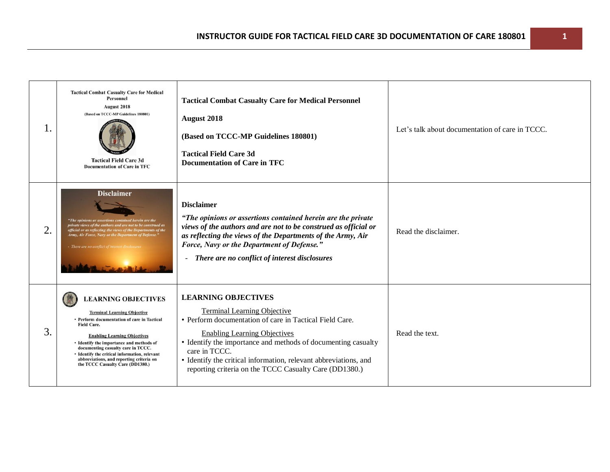| Ι.               | <b>Tactical Combat Casualty Care for Medical</b><br><b>Personnel</b><br><b>August 2018</b><br>(Based on TCCC-MP Guidelines 180801)<br><b>Tactical Field Care 3d</b><br><b>Documentation of Care in TFC</b>                                                                                                                                                                                      | <b>Tactical Combat Casualty Care for Medical Personnel</b><br>August 2018<br>(Based on TCCC-MP Guidelines 180801)<br><b>Tactical Field Care 3d</b><br><b>Documentation of Care in TFC</b>                                                                                                                                                                                          | Let's talk about documentation of care in TCCC. |
|------------------|-------------------------------------------------------------------------------------------------------------------------------------------------------------------------------------------------------------------------------------------------------------------------------------------------------------------------------------------------------------------------------------------------|------------------------------------------------------------------------------------------------------------------------------------------------------------------------------------------------------------------------------------------------------------------------------------------------------------------------------------------------------------------------------------|-------------------------------------------------|
| $\overline{2}$ . | <b>Disclaimer</b><br>"The opinions or assertions contained herein are the<br>private views of the authors and are not to be construed as<br>official or as reflecting the views of the Departments of the<br>Army, Air Force, Navy or the Department of Defense."<br>- There are no conflict of interest disclosu                                                                               | <b>Disclaimer</b><br>"The opinions or assertions contained herein are the private<br>views of the authors and are not to be construed as official or<br>as reflecting the views of the Departments of the Army, Air<br>Force, Navy or the Department of Defense."<br>There are no conflict of interest disclosures<br>$\blacksquare$                                               | Read the disclaimer.                            |
| 3.               | <b>LEARNING OBJECTIVES</b><br><b>Terminal Learning Objective</b><br>• Perform documentation of care in Tactical<br><b>Field Care.</b><br><b>Enabling Learning Objectives</b><br>• Identify the importance and methods of<br>documenting casualty care in TCCC.<br>• Identify the critical information, relevant<br>abbreviations, and reporting criteria on<br>the TCCC Casualty Care (DD1380.) | <b>LEARNING OBJECTIVES</b><br><b>Terminal Learning Objective</b><br>• Perform documentation of care in Tactical Field Care.<br><b>Enabling Learning Objectives</b><br>• Identify the importance and methods of documenting casualty<br>care in TCCC.<br>• Identify the critical information, relevant abbreviations, and<br>reporting criteria on the TCCC Casualty Care (DD1380.) | Read the text.                                  |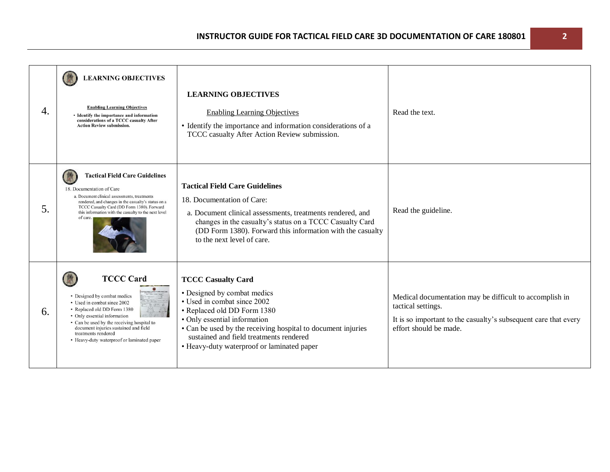| 4. | <b>LEARNING OBJECTIVES</b><br><b>Enabling Learning Objectives</b><br>• Identify the importance and information<br>considerations of a TCCC casualty After<br><b>Action Review submission.</b>                                                                                                             | <b>LEARNING OBJECTIVES</b><br><b>Enabling Learning Objectives</b><br>• Identify the importance and information considerations of a<br>TCCC casualty After Action Review submission.                                                                                                                             | Read the text.                                                                                                                                                             |
|----|-----------------------------------------------------------------------------------------------------------------------------------------------------------------------------------------------------------------------------------------------------------------------------------------------------------|-----------------------------------------------------------------------------------------------------------------------------------------------------------------------------------------------------------------------------------------------------------------------------------------------------------------|----------------------------------------------------------------------------------------------------------------------------------------------------------------------------|
| 5. | <b>Tactical Field Care Guidelines</b><br>18. Documentation of Care<br>a. Document clinical assessments, treatments<br>rendered, and changes in the casualty's status on a<br>TCCC Casualty Card (DD Form 1380). Forward<br>this information with the casualty to the next level<br>of care.               | <b>Tactical Field Care Guidelines</b><br>18. Documentation of Care:<br>a. Document clinical assessments, treatments rendered, and<br>changes in the casualty's status on a TCCC Casualty Card<br>(DD Form 1380). Forward this information with the casualty<br>to the next level of care.                       | Read the guideline.                                                                                                                                                        |
| 6. | <b>TCCC Card</b><br>• Designed by combat medics<br>• Used in combat since 2002<br>• Replaced old DD Form 1380<br>• Only essential information<br>• Can be used by the receiving hospital to<br>document injuries sustained and field<br>treatments rendered<br>• Heavy-duty waterproof or laminated paper | <b>TCCC Casualty Card</b><br>• Designed by combat medics<br>• Used in combat since 2002<br>• Replaced old DD Form 1380<br>• Only essential information<br>• Can be used by the receiving hospital to document injuries<br>sustained and field treatments rendered<br>• Heavy-duty waterproof or laminated paper | Medical documentation may be difficult to accomplish in<br>tactical settings.<br>It is so important to the casualty's subsequent care that every<br>effort should be made. |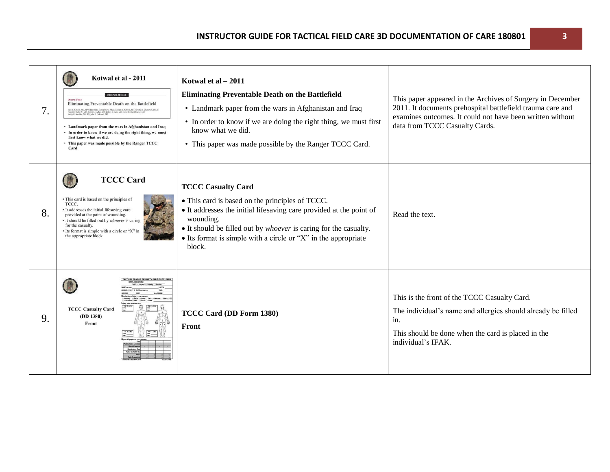| 7. | Kotwal et al - 2011<br><b>ONLINE FIRST</b><br>Eliminating Preventable Death on the Battlefield<br>Russ S. Ketwal, MD, MPH; Harold R. Montgomery, NREMT; Bari M. Ketwal, MS; Howard R. Champion, FRCS; Frank R. Dichter, H. Robert L. Nabry, MD; Jeffrey S. Cata, MD; Lower H. Blackbourne, MD; Kult, Rail & Robert L. Robert L.<br>• Landmark paper from the wars in Afghanistan and Iraq<br>• In order to know if we are doing the right thing, we must<br>first know what we did.<br>• This paper was made possible by the Ranger TCCC<br>Card. | Kotwal et al $-2011$<br><b>Eliminating Preventable Death on the Battlefield</b><br>• Landmark paper from the wars in Afghanistan and Iraq<br>• In order to know if we are doing the right thing, we must first<br>know what we did.<br>• This paper was made possible by the Ranger TCCC Card.                          | This paper appeared in the Archives of Surgery in December<br>2011. It documents prehospital battlefield trauma care and<br>examines outcomes. It could not have been written without<br>data from TCCC Casualty Cards. |
|----|---------------------------------------------------------------------------------------------------------------------------------------------------------------------------------------------------------------------------------------------------------------------------------------------------------------------------------------------------------------------------------------------------------------------------------------------------------------------------------------------------------------------------------------------------|-------------------------------------------------------------------------------------------------------------------------------------------------------------------------------------------------------------------------------------------------------------------------------------------------------------------------|-------------------------------------------------------------------------------------------------------------------------------------------------------------------------------------------------------------------------|
| 8. | <b>TCCC Card</b><br>• This card is based on the principles of<br>TCCC.<br>• It addresses the initial lifesaving care<br>provided at the point of wounding.<br>• It should be filled out by whoever is caring<br>for the casualty.<br>• Its format is simple with a circle or "X" in<br>the appropriate block.                                                                                                                                                                                                                                     | <b>TCCC Casualty Card</b><br>• This card is based on the principles of TCCC.<br>• It addresses the initial lifesaving care provided at the point of<br>wounding.<br>• It should be filled out by <i>whoever</i> is caring for the casualty.<br>• Its format is simple with a circle or "X" in the appropriate<br>block. | Read the text.                                                                                                                                                                                                          |
| 9. | TQ: RA/m<br><b>TCCC Casualty Card</b><br>(DD 1380)<br>Front                                                                                                                                                                                                                                                                                                                                                                                                                                                                                       | TCCC Card (DD Form 1380)<br>Front                                                                                                                                                                                                                                                                                       | This is the front of the TCCC Casualty Card.<br>The individual's name and allergies should already be filled<br>in.<br>This should be done when the card is placed in the<br>individual's IFAK.                         |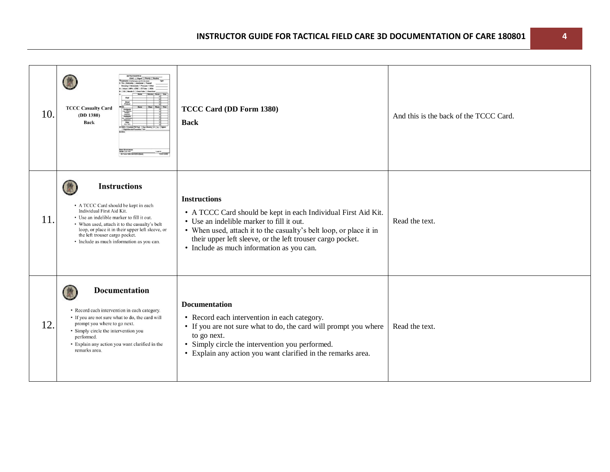| 10. | EVAC: [ Urgent [ Priority<br><b>Bood</b><br>Product<br><b>TCCC Casualty Card</b><br>(DD 1380)<br>Back<br>FIRST RESPONDER<br>NAME Los First<br>DD Form 1386, MAR 2014 (Box<br>LAST &                                                                                                                                       | TCCC Card (DD Form 1380)<br><b>Back</b>                                                                                                                                                                                                                                                                             | And this is the back of the TCCC Card. |
|-----|---------------------------------------------------------------------------------------------------------------------------------------------------------------------------------------------------------------------------------------------------------------------------------------------------------------------------|---------------------------------------------------------------------------------------------------------------------------------------------------------------------------------------------------------------------------------------------------------------------------------------------------------------------|----------------------------------------|
| 11. | <b>Instructions</b><br>• A TCCC Card should be kept in each<br>Individual First Aid Kit.<br>• Use an indelible marker to fill it out.<br>• When used, attach it to the casualty's belt<br>loop, or place it in their upper left sleeve, or<br>the left trouser cargo pocket.<br>• Include as much information as you can. | <b>Instructions</b><br>• A TCCC Card should be kept in each Individual First Aid Kit.<br>• Use an indelible marker to fill it out.<br>• When used, attach it to the casualty's belt loop, or place it in<br>their upper left sleeve, or the left trouser cargo pocket.<br>• Include as much information as you can. | Read the text.                         |
| 12. | <b>Documentation</b><br>• Record each intervention in each category.<br>• If you are not sure what to do, the card will<br>prompt you where to go next.<br>• Simply circle the intervention you<br>performed.<br>• Explain any action you want clarified in the<br>remarks area.                                          | <b>Documentation</b><br>• Record each intervention in each category.<br>• If you are not sure what to do, the card will prompt you where<br>to go next.<br>• Simply circle the intervention you performed.<br>• Explain any action you want clarified in the remarks area.                                          | Read the text.                         |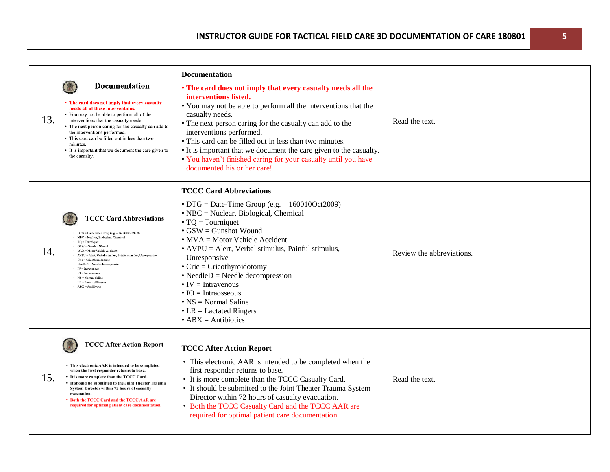| 13. | <b>Documentation</b><br>• The card does not imply that every casualty<br>needs all of these interventions.<br>• You may not be able to perform all of the<br>interventions that the casualty needs.<br>• The next person caring for the casualty can add to<br>the interventions performed.<br>• This card can be filled out in less than two<br>minutes.<br>• It is important that we document the care given to<br>the casualty.                                                                                | Documentation<br>• The card does not imply that every casualty needs all the<br>interventions listed.<br>• You may not be able to perform all the interventions that the<br>casualty needs.<br>• The next person caring for the casualty can add to the<br>interventions performed.<br>• This card can be filled out in less than two minutes.<br>• It is important that we document the care given to the casualty.<br>. You haven't finished caring for your casualty until you have<br>documented his or her care!                                            | Read the text.            |
|-----|-------------------------------------------------------------------------------------------------------------------------------------------------------------------------------------------------------------------------------------------------------------------------------------------------------------------------------------------------------------------------------------------------------------------------------------------------------------------------------------------------------------------|------------------------------------------------------------------------------------------------------------------------------------------------------------------------------------------------------------------------------------------------------------------------------------------------------------------------------------------------------------------------------------------------------------------------------------------------------------------------------------------------------------------------------------------------------------------|---------------------------|
| 14. | <b>TCCC Card Abbreviations</b><br>$\bullet$ DTG = Date-Time Group (e.g. $-1600100$ ct2009)<br>· NBC = Nuclear, Biological, Chemical<br>$\cdot$ TQ = Tourniquet<br>• GSW = Gunshot Wound<br>• MVA = Motor Vehicle Accident<br>• AVPU = Alert, Verbal stimulus, Painful stimulus, Unresponsive<br>• Cric = Cricothyroidotomy<br>• NeedleD = Needle decompression<br>$\bullet$ IV = Intravenous<br>$\cdot$ IO = Intraosseous<br>$\cdot$ NS = Normal Saline<br>$\bullet$ LR = Lactated Ringers<br>$ABX = Antibiotics$ | <b>TCCC Card Abbreviations</b><br>$\bullet$ DTG = Date-Time Group (e.g. $-160010$ Oct2009)<br>• NBC = Nuclear, Biological, Chemical<br>$\bullet$ TQ = Tourniquet<br>$\bullet$ GSW = Gunshot Wound<br>$\bullet$ MVA = Motor Vehicle Accident<br>• AVPU = Alert, Verbal stimulus, Painful stimulus,<br>Unresponsive<br>$\bullet$ Cric = Cricothyroidotomy<br>$\bullet$ NeedleD = Needle decompression<br>$\bullet$ IV = Intravenous<br>$\bullet$ IO = Intraosseous<br>$\cdot$ NS = Normal Saline<br>$\bullet$ LR = Lactated Ringers<br>$\bullet$ ABX = Antibiotics | Review the abbreviations. |
| 15. | <b>TCCC After Action Report</b><br>• This electronic AAR is intended to be completed<br>when the first responder returns to base.<br>• It is more complete than the TCCC Card.<br>• It should be submitted to the Joint Theater Trauma<br>System Director within 72 hours of casualty<br>evacuation.<br>Both the TCCC Card and the TCCC AAR are<br>required for optimal patient care documentation.                                                                                                               | <b>TCCC After Action Report</b><br>• This electronic AAR is intended to be completed when the<br>first responder returns to base.<br>• It is more complete than the TCCC Casualty Card.<br>• It should be submitted to the Joint Theater Trauma System<br>Director within 72 hours of casualty evacuation.<br>• Both the TCCC Casualty Card and the TCCC AAR are<br>required for optimal patient care documentation.                                                                                                                                             | Read the text.            |